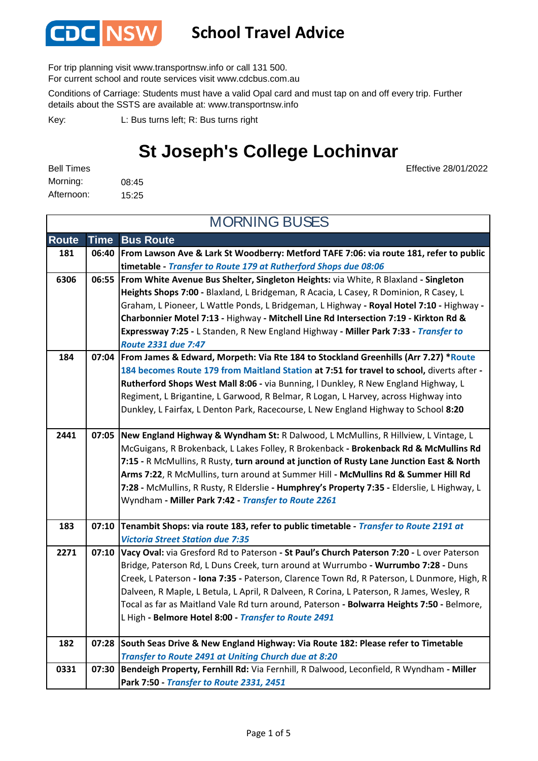

### **School Travel Advice**

For trip planning visit www.transportnsw.info or call 131 500.

For current school and route services visit www.cdcbus.com.au

Conditions of Carriage: Students must have a valid Opal card and must tap on and off every trip. Further details about the SSTS are available at: www.transportnsw.info

L: Bus turns left; R: Bus turns right Key:

## **St Joseph's College Lochinvar**

Effective 28/01/2022

| <b>Bell Times</b> |       |
|-------------------|-------|
| Morning:          | 08:45 |
| Afternoon:        | 15:25 |

**Route Time Bus Route 181 06:40 From Lawson Ave & Lark St Woodberry: Metford TAFE 7:06: via route 181, refer to public timetable -** *Transfer to Route 179 at Rutherford Shops due 08:06* **6306 06:55 From White Avenue Bus Shelter, Singleton Heights:** via White, R Blaxland **- Singleton Heights Shops 7:00 -** Blaxland, L Bridgeman, R Acacia, L Casey, R Dominion, R Casey, L Graham, L Pioneer, L Wattle Ponds, L Bridgeman, L Highway **- Royal Hotel 7:10 -** Highway **- Charbonnier Motel 7:13 -** Highway **- Mitchell Line Rd Intersection 7:19 - Kirkton Rd & Expressway 7:25 -** L Standen, R New England Highway **- Miller Park 7:33 -** *Transfer to Route 2331 due 7:47* **184 07:04 From James & Edward, Morpeth: Via Rte 184 to Stockland Greenhills (Arr 7.27) \*Route 184 becomes Route 179 from Maitland Station at 7:51 for travel to school,** diverts after **- Rutherford Shops West Mall 8:06 -** via Bunning, l Dunkley, R New England Highway, L Regiment, L Brigantine, L Garwood, R Belmar, R Logan, L Harvey, across Highway into Dunkley, L Fairfax, L Denton Park, Racecourse, L New England Highway to School **8:20 2441 07:05 New England Highway & Wyndham St:** R Dalwood, L McMullins, R Hillview, L Vintage, L McGuigans, R Brokenback, L Lakes Folley, R Brokenback **- Brokenback Rd & McMullins Rd 7:15 -** R McMullins, R Rusty, **turn around at junction of Rusty Lane Junction East & North Arms 7:22**, R McMullins, turn around at Summer Hill **- McMullins Rd & Summer Hill Rd 7:28 -** McMullins, R Rusty, R Elderslie **- Humphrey's Property 7:35 -** Elderslie, L Highway, L Wyndham **- Miller Park 7:42 -** *Transfer to Route 2261* **183 07:10 Tenambit Shops: via route 183, refer to public timetable -** *Transfer to Route 2191 at Victoria Street Station due 7:35* **2271 07:10 Vacy Oval:** via Gresford Rd to Paterson **- St Paul's Church Paterson 7:20 -** L over Paterson Bridge, Paterson Rd, L Duns Creek, turn around at Wurrumbo **- Wurrumbo 7:28 -** Duns Creek, L Paterson **- Iona 7:35 -** Paterson, Clarence Town Rd, R Paterson, L Dunmore, High, R Dalveen, R Maple, L Betula, L April, R Dalveen, R Corina, L Paterson, R James, Wesley, R Tocal as far as Maitland Vale Rd turn around, Paterson **- Bolwarra Heights 7:50 -** Belmore, L High **- Belmore Hotel 8:00 -** *Transfer to Route 2491* **182 07:28 South Seas Drive & New England Highway: Via Route 182: Please refer to Timetable**  *Transfer to Route 2491 at Uniting Church due at 8:20* **0331 07:30 Bendeigh Property, Fernhill Rd:** Via Fernhill, R Dalwood, Leconfield, R Wyndham **- Miller Park 7:50 -** *Transfer to Route 2331, 2451* MORNING BUSES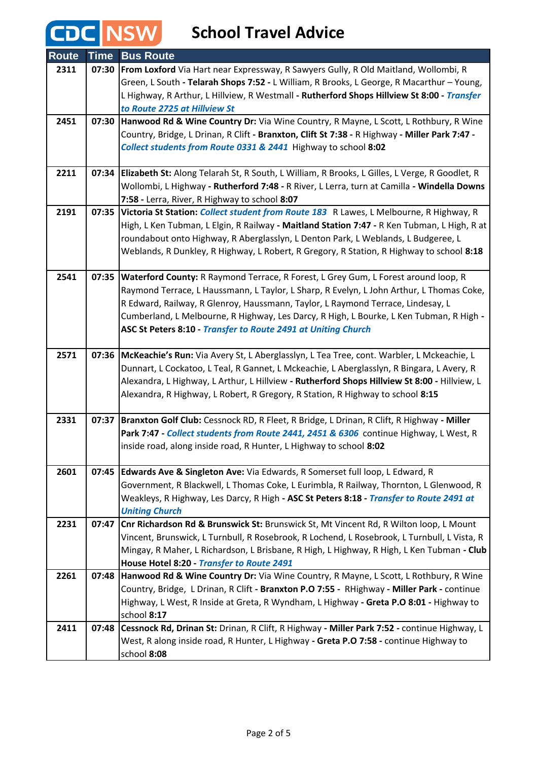# **CDC** NSW School Travel Advice

| <b>Route</b> | <b>Time</b> | <b>Bus Route</b>                                                                                                                                                              |
|--------------|-------------|-------------------------------------------------------------------------------------------------------------------------------------------------------------------------------|
| 2311         | 07:30       | From Loxford Via Hart near Expressway, R Sawyers Gully, R Old Maitland, Wollombi, R                                                                                           |
|              |             | Green, L South - Telarah Shops 7:52 - L William, R Brooks, L George, R Macarthur - Young,                                                                                     |
|              |             | L Highway, R Arthur, L Hillview, R Westmall - Rutherford Shops Hillview St 8:00 - Transfer                                                                                    |
|              |             | to Route 2725 at Hillview St                                                                                                                                                  |
| 2451         | 07:30       | Hanwood Rd & Wine Country Dr: Via Wine Country, R Mayne, L Scott, L Rothbury, R Wine                                                                                          |
|              |             | Country, Bridge, L Drinan, R Clift - Branxton, Clift St 7:38 - R Highway - Miller Park 7:47 -                                                                                 |
|              |             | Collect students from Route 0331 & 2441 Highway to school 8:02                                                                                                                |
|              |             |                                                                                                                                                                               |
| 2211         | 07:34       | Elizabeth St: Along Telarah St, R South, L William, R Brooks, L Gilles, L Verge, R Goodlet, R                                                                                 |
|              |             | Wollombi, L Highway - Rutherford 7:48 - R River, L Lerra, turn at Camilla - Windella Downs                                                                                    |
|              |             | 7:58 - Lerra, River, R Highway to school 8:07                                                                                                                                 |
| 2191         |             | 07:35 Victoria St Station: Collect student from Route 183 R Lawes, L Melbourne, R Highway, R                                                                                  |
|              |             | High, L Ken Tubman, L Elgin, R Railway - Maitland Station 7:47 - R Ken Tubman, L High, R at                                                                                   |
|              |             | roundabout onto Highway, R Aberglasslyn, L Denton Park, L Weblands, L Budgeree, L<br>Weblands, R Dunkley, R Highway, L Robert, R Gregory, R Station, R Highway to school 8:18 |
|              |             |                                                                                                                                                                               |
| 2541         |             | 07:35 Waterford County: R Raymond Terrace, R Forest, L Grey Gum, L Forest around loop, R                                                                                      |
|              |             | Raymond Terrace, L Haussmann, L Taylor, L Sharp, R Evelyn, L John Arthur, L Thomas Coke,                                                                                      |
|              |             | R Edward, Railway, R Glenroy, Haussmann, Taylor, L Raymond Terrace, Lindesay, L                                                                                               |
|              |             | Cumberland, L Melbourne, R Highway, Les Darcy, R High, L Bourke, L Ken Tubman, R High -                                                                                       |
|              |             | ASC St Peters 8:10 - Transfer to Route 2491 at Uniting Church                                                                                                                 |
|              |             |                                                                                                                                                                               |
| 2571         |             | 07:36 McKeachie's Run: Via Avery St, L Aberglasslyn, L Tea Tree, cont. Warbler, L Mckeachie, L                                                                                |
|              |             | Dunnart, L Cockatoo, L Teal, R Gannet, L Mckeachie, L Aberglasslyn, R Bingara, L Avery, R                                                                                     |
|              |             | Alexandra, L Highway, L Arthur, L Hillview - Rutherford Shops Hillview St 8:00 - Hillview, L                                                                                  |
|              |             | Alexandra, R Highway, L Robert, R Gregory, R Station, R Highway to school 8:15                                                                                                |
| 2331         | 07:37       | Branxton Golf Club: Cessnock RD, R Fleet, R Bridge, L Drinan, R Clift, R Highway - Miller                                                                                     |
|              |             | Park 7:47 - Collect students from Route 2441, 2451 & 6306 continue Highway, L West, R                                                                                         |
|              |             | inside road, along inside road, R Hunter, L Highway to school 8:02                                                                                                            |
|              |             |                                                                                                                                                                               |
| 2601         | 07:45       | Edwards Ave & Singleton Ave: Via Edwards, R Somerset full loop, L Edward, R                                                                                                   |
|              |             | Government, R Blackwell, L Thomas Coke, L Eurimbla, R Railway, Thornton, L Glenwood, R                                                                                        |
|              |             | Weakleys, R Highway, Les Darcy, R High - ASC St Peters 8:18 - Transfer to Route 2491 at                                                                                       |
|              |             | <b>Uniting Church</b>                                                                                                                                                         |
| 2231         |             | 07:47 Cnr Richardson Rd & Brunswick St: Brunswick St, Mt Vincent Rd, R Wilton loop, L Mount                                                                                   |
|              |             | Vincent, Brunswick, L Turnbull, R Rosebrook, R Lochend, L Rosebrook, L Turnbull, L Vista, R                                                                                   |
|              |             | Mingay, R Maher, L Richardson, L Brisbane, R High, L Highway, R High, L Ken Tubman - Club                                                                                     |
|              |             | House Hotel 8:20 - Transfer to Route 2491                                                                                                                                     |
| 2261         |             | 07:48   Hanwood Rd & Wine Country Dr: Via Wine Country, R Mayne, L Scott, L Rothbury, R Wine                                                                                  |
|              |             | Country, Bridge, L Drinan, R Clift - Branxton P.O 7:55 - RHighway - Miller Park - continue                                                                                    |
|              |             | Highway, L West, R Inside at Greta, R Wyndham, L Highway - Greta P.O 8:01 - Highway to                                                                                        |
| 2411         | 07:48       | school 8:17<br>Cessnock Rd, Drinan St: Drinan, R Clift, R Highway - Miller Park 7:52 - continue Highway, L                                                                    |
|              |             | West, R along inside road, R Hunter, L Highway - Greta P.O 7:58 - continue Highway to                                                                                         |
|              |             | school 8:08                                                                                                                                                                   |
|              |             |                                                                                                                                                                               |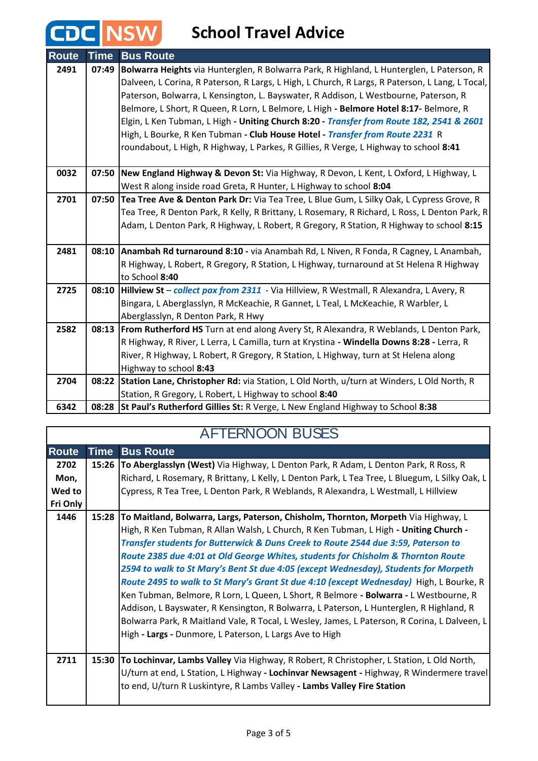## **School Travel Advice**

CDC NSW

| <b>Route</b> | <b>Time</b> | <b>Bus Route</b>                                                                                |
|--------------|-------------|-------------------------------------------------------------------------------------------------|
| 2491         | 07:49       | Bolwarra Heights via Hunterglen, R Bolwarra Park, R Highland, L Hunterglen, L Paterson, R       |
|              |             | Dalveen, L Corina, R Paterson, R Largs, L High, L Church, R Largs, R Paterson, L Lang, L Tocal, |
|              |             | Paterson, Bolwarra, L Kensington, L. Bayswater, R Addison, L Westbourne, Paterson, R            |
|              |             | Belmore, L Short, R Queen, R Lorn, L Belmore, L High - Belmore Hotel 8:17- Belmore, R           |
|              |             | Elgin, L Ken Tubman, L High - Uniting Church 8:20 - Transfer from Route 182, 2541 & 2601        |
|              |             | High, L Bourke, R Ken Tubman - Club House Hotel - Transfer from Route 2231 R                    |
|              |             | roundabout, L High, R Highway, L Parkes, R Gillies, R Verge, L Highway to school 8:41           |
|              |             |                                                                                                 |
| 0032         | 07:50       | New England Highway & Devon St: Via Highway, R Devon, L Kent, L Oxford, L Highway, L            |
|              |             | West R along inside road Greta, R Hunter, L Highway to school 8:04                              |
| 2701         | 07:50       | Tea Tree Ave & Denton Park Dr: Via Tea Tree, L Blue Gum, L Silky Oak, L Cypress Grove, R        |
|              |             | Tea Tree, R Denton Park, R Kelly, R Brittany, L Rosemary, R Richard, L Ross, L Denton Park, R   |
|              |             | Adam, L Denton Park, R Highway, L Robert, R Gregory, R Station, R Highway to school 8:15        |
|              |             |                                                                                                 |
| 2481         |             | 08:10 Anambah Rd turnaround 8:10 - via Anambah Rd, L Niven, R Fonda, R Cagney, L Anambah,       |
|              |             | R Highway, L Robert, R Gregory, R Station, L Highway, turnaround at St Helena R Highway         |
|              |             | to School 8:40                                                                                  |
| 2725         | 08:10       | Hillview St - collect pax from 2311 - Via Hillview, R Westmall, R Alexandra, L Avery, R         |
|              |             | Bingara, L Aberglasslyn, R McKeachie, R Gannet, L Teal, L McKeachie, R Warbler, L               |
|              |             | Aberglasslyn, R Denton Park, R Hwy                                                              |
| 2582         | 08:13       | From Rutherford HS Turn at end along Avery St, R Alexandra, R Weblands, L Denton Park,          |
|              |             | R Highway, R River, L Lerra, L Camilla, turn at Krystina - Windella Downs 8:28 - Lerra, R       |
|              |             | River, R Highway, L Robert, R Gregory, R Station, L Highway, turn at St Helena along            |
|              |             | Highway to school 8:43                                                                          |
| 2704         | 08:22       | Station Lane, Christopher Rd: via Station, L Old North, u/turn at Winders, L Old North, R       |
|              |             | Station, R Gregory, L Robert, L Highway to school 8:40                                          |
| 6342         | 08:28       | <b>St Paul's Rutherford Gillies St: R</b> Verge, L New England Highway to School 8:38           |

#### AFTERNOON BUSES

| <b>Route</b> | <b>Time</b> | <b>Bus Route</b>                                                                               |
|--------------|-------------|------------------------------------------------------------------------------------------------|
| 2702         |             | 15:26 To Aberglasslyn (West) Via Highway, L Denton Park, R Adam, L Denton Park, R Ross, R      |
| Mon,         |             | Richard, L Rosemary, R Brittany, L Kelly, L Denton Park, L Tea Tree, L Bluegum, L Silky Oak, L |
| Wed to       |             | Cypress, R Tea Tree, L Denton Park, R Weblands, R Alexandra, L Westmall, L Hillview            |
| Fri Only     |             |                                                                                                |
| 1446         | 15:28       | To Maitland, Bolwarra, Largs, Paterson, Chisholm, Thornton, Morpeth Via Highway, L             |
|              |             | High, R Ken Tubman, R Allan Walsh, L Church, R Ken Tubman, L High - Uniting Church -           |
|              |             | Transfer students for Butterwick & Duns Creek to Route 2544 due 3:59, Paterson to              |
|              |             | Route 2385 due 4:01 at Old George Whites, students for Chisholm & Thornton Route               |
|              |             | 2594 to walk to St Mary's Bent St due 4:05 (except Wednesday), Students for Morpeth            |
|              |             | Route 2495 to walk to St Mary's Grant St due 4:10 (except Wednesday) High, L Bourke, R         |
|              |             | Ken Tubman, Belmore, R Lorn, L Queen, L Short, R Belmore - Bolwarra - L Westbourne, R          |
|              |             | Addison, L Bayswater, R Kensington, R Bolwarra, L Paterson, L Hunterglen, R Highland, R        |
|              |             | Bolwarra Park, R Maitland Vale, R Tocal, L Wesley, James, L Paterson, R Corina, L Dalveen, L   |
|              |             | High - Largs - Dunmore, L Paterson, L Largs Ave to High                                        |
|              |             |                                                                                                |
| 2711         | 15:30       | To Lochinvar, Lambs Valley Via Highway, R Robert, R Christopher, L Station, L Old North,       |
|              |             | U/turn at end, L Station, L Highway - Lochinvar Newsagent - Highway, R Windermere travel       |
|              |             | to end, U/turn R Luskintyre, R Lambs Valley - Lambs Valley Fire Station                        |
|              |             |                                                                                                |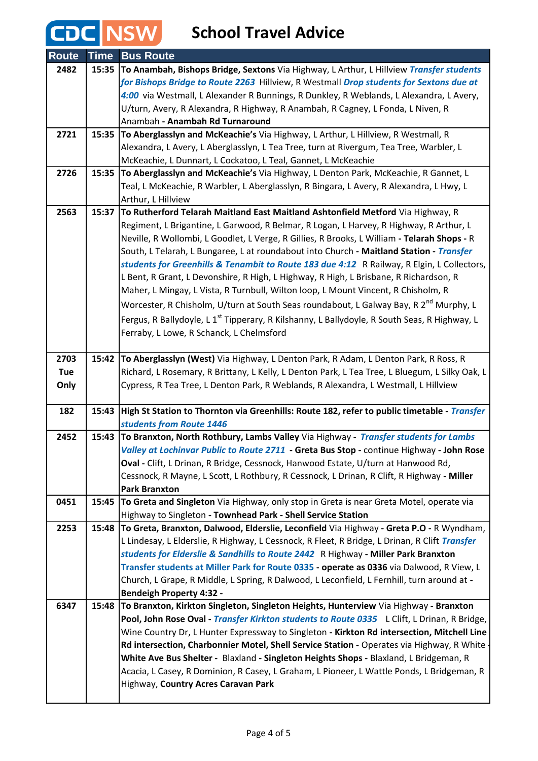# **CDC** NSW School Travel Advice

| <b>Route</b> | <b>Time</b> | <b>Bus Route</b>                                                                                                        |
|--------------|-------------|-------------------------------------------------------------------------------------------------------------------------|
| 2482         | 15:35       | To Anambah, Bishops Bridge, Sextons Via Highway, L Arthur, L Hillview Transfer students                                 |
|              |             | for Bishops Bridge to Route 2263 Hillview, R Westmall Drop students for Sextons due at                                  |
|              |             | 4:00 via Westmall, L Alexander R Bunnings, R Dunkley, R Weblands, L Alexandra, L Avery,                                 |
|              |             | U/turn, Avery, R Alexandra, R Highway, R Anambah, R Cagney, L Fonda, L Niven, R                                         |
|              |             | Anambah - Anambah Rd Turnaround                                                                                         |
| 2721         |             | 15:35 To Aberglasslyn and McKeachie's Via Highway, L Arthur, L Hillview, R Westmall, R                                  |
|              |             | Alexandra, L Avery, L Aberglasslyn, L Tea Tree, turn at Rivergum, Tea Tree, Warbler, L                                  |
|              |             | McKeachie, L Dunnart, L Cockatoo, L Teal, Gannet, L McKeachie                                                           |
| 2726         | 15:35       | To Aberglasslyn and McKeachie's Via Highway, L Denton Park, McKeachie, R Gannet, L                                      |
|              |             | Teal, L McKeachie, R Warbler, L Aberglasslyn, R Bingara, L Avery, R Alexandra, L Hwy, L                                 |
|              |             | Arthur, L Hillview                                                                                                      |
| 2563         | 15:37       | To Rutherford Telarah Maitland East Maitland Ashtonfield Metford Via Highway, R                                         |
|              |             | Regiment, L Brigantine, L Garwood, R Belmar, R Logan, L Harvey, R Highway, R Arthur, L                                  |
|              |             | Neville, R Wollombi, L Goodlet, L Verge, R Gillies, R Brooks, L William - Telarah Shops - R                             |
|              |             | South, L Telarah, L Bungaree, L at roundabout into Church - Maitland Station - Transfer                                 |
|              |             | students for Greenhills & Tenambit to Route 183 due 4:12 R Railway, R Elgin, L Collectors,                              |
|              |             | L Bent, R Grant, L Devonshire, R High, L Highway, R High, L Brisbane, R Richardson, R                                   |
|              |             | Maher, L Mingay, L Vista, R Turnbull, Wilton loop, L Mount Vincent, R Chisholm, R                                       |
|              |             | Worcester, R Chisholm, U/turn at South Seas roundabout, L Galway Bay, R 2 <sup>nd</sup> Murphy, L                       |
|              |             | Fergus, R Ballydoyle, L 1 <sup>st</sup> Tipperary, R Kilshanny, L Ballydoyle, R South Seas, R Highway, L                |
|              |             | Ferraby, L Lowe, R Schanck, L Chelmsford                                                                                |
|              |             |                                                                                                                         |
| 2703         | 15:42       | To Aberglasslyn (West) Via Highway, L Denton Park, R Adam, L Denton Park, R Ross, R                                     |
| Tue          |             | Richard, L Rosemary, R Brittany, L Kelly, L Denton Park, L Tea Tree, L Bluegum, L Silky Oak, L                          |
| Only         |             | Cypress, R Tea Tree, L Denton Park, R Weblands, R Alexandra, L Westmall, L Hillview                                     |
| 182          | 15:43       | High St Station to Thornton via Greenhills: Route 182, refer to public timetable - <i>Transfer</i>                      |
|              |             | students from Route 1446                                                                                                |
| 2452         | 15:43       | To Branxton, North Rothbury, Lambs Valley Via Highway - Transfer students for Lambs                                     |
|              |             | Valley at Lochinvar Public to Route 2711 - Greta Bus Stop - continue Highway - John Rose                                |
|              |             | Oval - Clift, L Drinan, R Bridge, Cessnock, Hanwood Estate, U/turn at Hanwood Rd,                                       |
|              |             | Cessnock, R Mayne, L Scott, L Rothbury, R Cessnock, L Drinan, R Clift, R Highway - Miller                               |
|              |             | <b>Park Branxton</b>                                                                                                    |
| 0451         | 15:45       | To Greta and Singleton Via Highway, only stop in Greta is near Greta Motel, operate via                                 |
|              |             | Highway to Singleton - Townhead Park - Shell Service Station                                                            |
| 2253         | 15:48       | To Greta, Branxton, Dalwood, Elderslie, Leconfield Via Highway - Greta P.O - R Wyndham,                                 |
|              |             | L Lindesay, L Elderslie, R Highway, L Cessnock, R Fleet, R Bridge, L Drinan, R Clift Transfer                           |
|              |             | students for Elderslie & Sandhills to Route 2442 R Highway - Miller Park Branxton                                       |
|              |             | Transfer students at Miller Park for Route 0335 - operate as 0336 via Dalwood, R View, L                                |
|              |             | Church, L Grape, R Middle, L Spring, R Dalwood, L Leconfield, L Fernhill, turn around at -                              |
| 6347         | 15:48       | <b>Bendeigh Property 4:32 -</b><br>To Branxton, Kirkton Singleton, Singleton Heights, Hunterview Via Highway - Branxton |
|              |             | Pool, John Rose Oval - Transfer Kirkton students to Route 0335 L Clift, L Drinan, R Bridge,                             |
|              |             | Wine Country Dr, L Hunter Expressway to Singleton - Kirkton Rd intersection, Mitchell Line                              |
|              |             | Rd intersection, Charbonnier Motel, Shell Service Station - Operates via Highway, R White                               |
|              |             | White Ave Bus Shelter - Blaxland - Singleton Heights Shops - Blaxland, L Bridgeman, R                                   |
|              |             | Acacia, L Casey, R Dominion, R Casey, L Graham, L Pioneer, L Wattle Ponds, L Bridgeman, R                               |
|              |             | Highway, Country Acres Caravan Park                                                                                     |
|              |             |                                                                                                                         |
|              |             |                                                                                                                         |